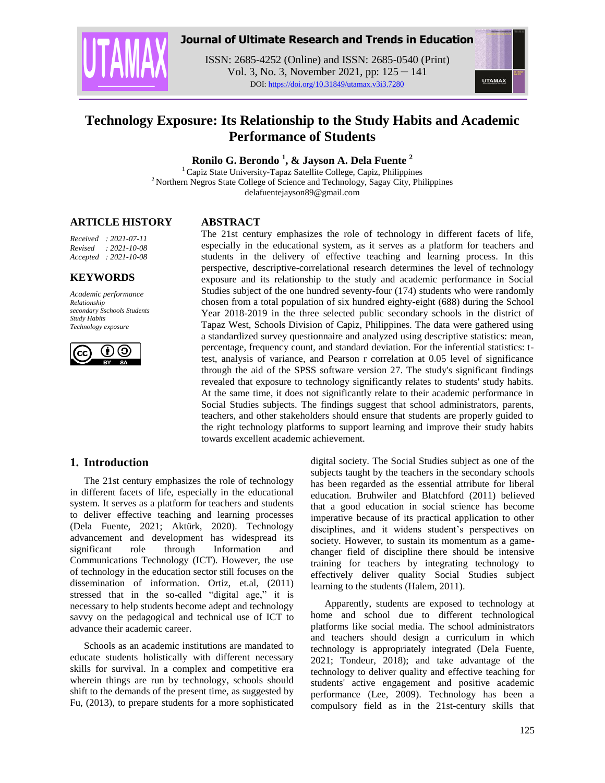

## **Journal of Ultimate Research and Trends in Education**

ISSN: 2685-4252 (Online) and ISSN: 2685-0540 (Print) Vol. 3, No. 3, November 2021, pp: 125 – 141 DOI: https://doi.org/10.31849/utamax.v3i3.7280



# **Technology Exposure: Its Relationship to the Study Habits and Academic Performance of Students**

**Ronilo G. Berondo <sup>1</sup> , & Jayson A. Dela Fuente <sup>2</sup>**

<sup>1</sup> Capiz State University-Tapaz Satellite College, Capiz, Philippines <sup>2</sup> Northern Negros State College of Science and Technology, Sagay City, Philippines delafuentejayson89@gmail.com

#### **ARTICLE HISTORY**

*Received : 2021-07-11 Revised : 2021-10-08 Accepted : 2021-10-08*

## **KEYWORDS**

*Academic performance Relationship secondary Sschools Students Study Habits Technology exposure* 



## **ABSTRACT**

The 21st century emphasizes the role of technology in different facets of life, especially in the educational system, as it serves as a platform for teachers and students in the delivery of effective teaching and learning process. In this perspective, descriptive-correlational research determines the level of technology exposure and its relationship to the study and academic performance in Social Studies subject of the one hundred seventy-four (174) students who were randomly chosen from a total population of six hundred eighty-eight (688) during the School Year 2018-2019 in the three selected public secondary schools in the district of Tapaz West, Schools Division of Capiz, Philippines. The data were gathered using a standardized survey questionnaire and analyzed using descriptive statistics: mean, percentage, frequency count, and standard deviation. For the inferential statistics: ttest, analysis of variance, and Pearson r correlation at 0.05 level of significance through the aid of the SPSS software version 27. The study's significant findings revealed that exposure to technology significantly relates to students' study habits. At the same time, it does not significantly relate to their academic performance in Social Studies subjects. The findings suggest that school administrators, parents, teachers, and other stakeholders should ensure that students are properly guided to the right technology platforms to support learning and improve their study habits towards excellent academic achievement.

## **1. Introduction**

The 21st century emphasizes the role of technology in different facets of life, especially in the educational system. It serves as a platform for teachers and students to deliver effective teaching and learning processes (Dela Fuente, 2021; Aktürk, 2020). Technology advancement and development has widespread its significant role through Information and Communications Technology (ICT). However, the use of technology in the education sector still focuses on the dissemination of information. Ortiz, et.al, (2011) stressed that in the so-called "digital age," it is necessary to help students become adept and technology savvy on the pedagogical and technical use of ICT to advance their academic career.

Schools as an academic institutions are mandated to educate students holistically with different necessary skills for survival. In a complex and competitive era wherein things are run by technology, schools should shift to the demands of the present time, as suggested by Fu, (2013), to prepare students for a more sophisticated digital society. The Social Studies subject as one of the subjects taught by the teachers in the secondary schools has been regarded as the essential attribute for liberal education. Bruhwiler and Blatchford (2011) believed that a good education in social science has become imperative because of its practical application to other disciplines, and it widens student's perspectives on society. However, to sustain its momentum as a gamechanger field of discipline there should be intensive training for teachers by integrating technology to effectively deliver quality Social Studies subject learning to the students (Halem, 2011).

Apparently, students are exposed to technology at home and school due to different technological platforms like social media. The school administrators and teachers should design a curriculum in which technology is appropriately integrated (Dela Fuente, 2021; Tondeur, 2018); and take advantage of the technology to deliver quality and effective teaching for students' active engagement and positive academic performance (Lee, 2009). Technology has been a compulsory field as in the 21st-century skills that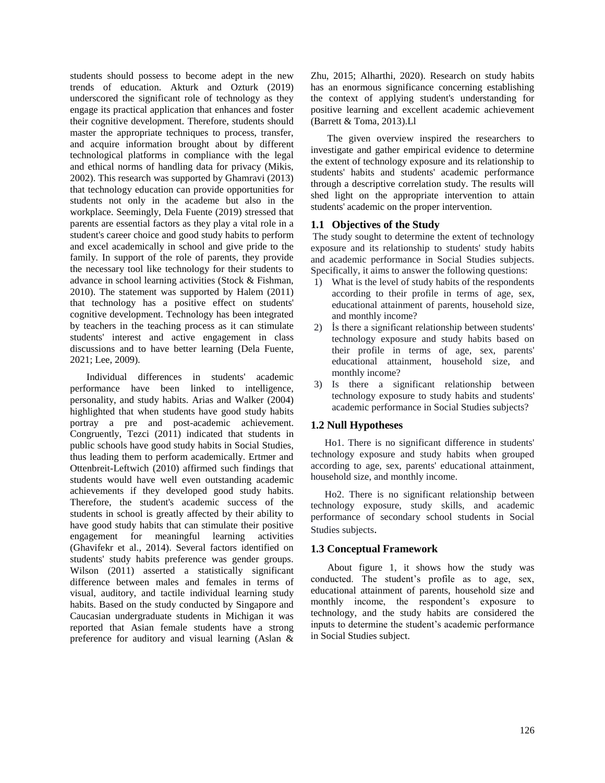students should possess to become adept in the new trends of education. Akturk and Ozturk (2019) underscored the significant role of technology as they engage its practical application that enhances and foster their cognitive development. Therefore, students should master the appropriate techniques to process, transfer, and acquire information brought about by different technological platforms in compliance with the legal and ethical norms of handling data for privacy (Mikis, 2002). This research was supported by Ghamravi (2013) that technology education can provide opportunities for students not only in the academe but also in the workplace. Seemingly, Dela Fuente (2019) stressed that parents are essential factors as they play a vital role in a student's career choice and good study habits to perform and excel academically in school and give pride to the family. In support of the role of parents, they provide the necessary tool like technology for their students to advance in school learning activities (Stock & Fishman, 2010). The statement was supported by Halem (2011) that technology has a positive effect on students' cognitive development. Technology has been integrated by teachers in the teaching process as it can stimulate students' interest and active engagement in class discussions and to have better learning (Dela Fuente, 2021; Lee, 2009).

Individual differences in students' academic performance have been linked to intelligence, personality, and study habits. Arias and Walker (2004) highlighted that when students have good study habits portray a pre and post-academic achievement. Congruently, Tezci (2011) indicated that students in public schools have good study habits in Social Studies, thus leading them to perform academically. Ertmer and Ottenbreit-Leftwich (2010) affirmed such findings that students would have well even outstanding academic achievements if they developed good study habits. Therefore, the student's academic success of the students in school is greatly affected by their ability to have good study habits that can stimulate their positive engagement for meaningful learning activities (Ghavifekr et al., 2014). Several factors identified on students' study habits preference was gender groups. Wilson (2011) asserted a statistically significant difference between males and females in terms of visual, auditory, and tactile individual learning study habits. Based on the study conducted by Singapore and Caucasian undergraduate students in Michigan it was reported that Asian female students have a strong preference for auditory and visual learning (Aslan &

Zhu, 2015; Alharthi, 2020). Research on study habits has an enormous significance concerning establishing the context of applying student's understanding for positive learning and excellent academic achievement (Barrett & Toma, 2013).Ll

The given overview inspired the researchers to investigate and gather empirical evidence to determine the extent of technology exposure and its relationship to students' habits and students' academic performance through a descriptive correlation study. The results will shed light on the appropriate intervention to attain students' academic on the proper intervention.

#### **1.1 Objectives of the Study**

The study sought to determine the extent of technology exposure and its relationship to students' study habits and academic performance in Social Studies subjects. Specifically, it aims to answer the following questions:

- 1) What is the level of study habits of the respondents according to their profile in terms of age, sex, educational attainment of parents, household size, and monthly income?
- 2) İs there a significant relationship between students' technology exposure and study habits based on their profile in terms of age, sex, parents' educational attainment, household size, and monthly income?
- 3) Is there a significant relationship between technology exposure to study habits and students' academic performance in Social Studies subjects?

#### **1.2 Null Hypotheses**

Ho1. There is no significant difference in students' technology exposure and study habits when grouped according to age, sex, parents' educational attainment, household size, and monthly income.

Ho2. There is no significant relationship between technology exposure, study skills, and academic performance of secondary school students in Social Studies subjects.

#### **1.3 Conceptual Framework**

About figure 1, it shows how the study was conducted. The student"s profile as to age, sex, educational attainment of parents, household size and monthly income, the respondent's exposure to technology, and the study habits are considered the inputs to determine the student"s academic performance in Social Studies subject.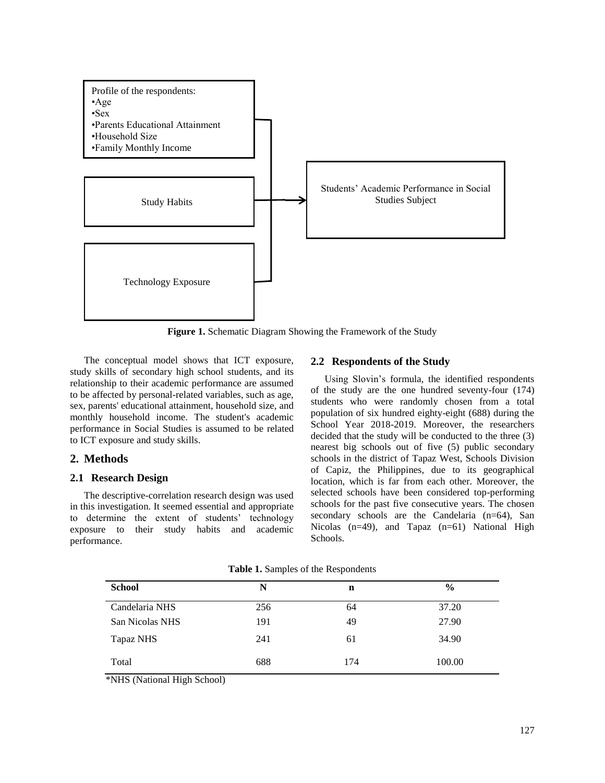

**Figure 1.** Schematic Diagram Showing the Framework of the Study

The conceptual model shows that ICT exposure, study skills of secondary high school students, and its relationship to their academic performance are assumed to be affected by personal-related variables, such as age, sex, parents' educational attainment, household size, and monthly household income. The student's academic performance in Social Studies is assumed to be related to ICT exposure and study skills.

## **2. Methods**

#### **2.1 Research Design**

The descriptive-correlation research design was used in this investigation. It seemed essential and appropriate to determine the extent of students' technology exposure to their study habits and academic performance.

#### **2.2 Respondents of the Study**

Using Slovin"s formula, the identified respondents of the study are the one hundred seventy-four (174) students who were randomly chosen from a total population of six hundred eighty-eight (688) during the School Year 2018-2019. Moreover, the researchers decided that the study will be conducted to the three (3) nearest big schools out of five (5) public secondary schools in the district of Tapaz West, Schools Division of Capiz, the Philippines, due to its geographical location, which is far from each other. Moreover, the selected schools have been considered top-performing schools for the past five consecutive years. The chosen secondary schools are the Candelaria (n=64), San Nicolas  $(n=49)$ , and Tapaz  $(n=61)$  National High Schools.

| <b>School</b>   | $\overline{\phantom{a}}$<br>N | $\overline{\phantom{a}}$<br>$\mathbf n$ | $\frac{6}{9}$ |
|-----------------|-------------------------------|-----------------------------------------|---------------|
| Candelaria NHS  | 256                           | 64                                      | 37.20         |
| San Nicolas NHS | 191                           | 49                                      | 27.90         |
| Tapaz NHS       | 241                           | 61                                      | 34.90         |
| Total           | 688                           | 174                                     | 100.00        |

**Table 1.** Samples of the Respondents

\*NHS (National High School)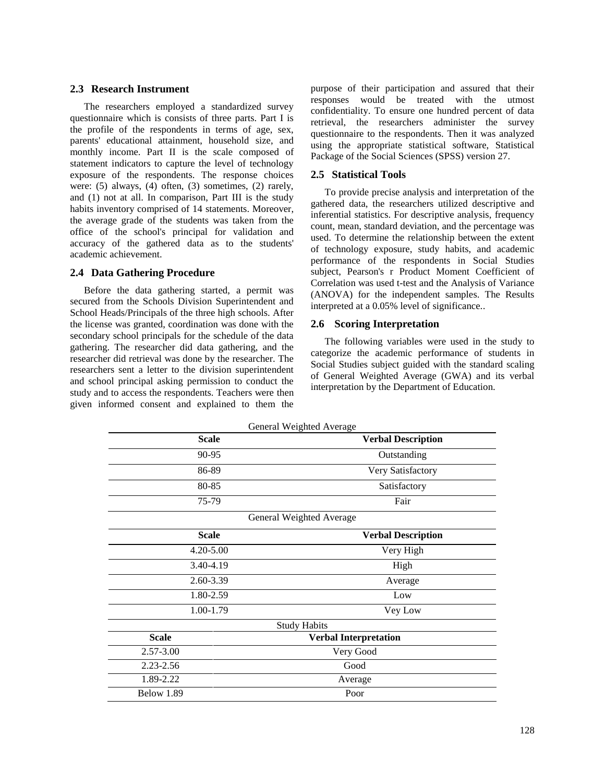#### **2.3 Research Instrument**

The researchers employed a standardized survey questionnaire which is consists of three parts. Part I is the profile of the respondents in terms of age, sex, parents' educational attainment, household size, and monthly income. Part II is the scale composed of statement indicators to capture the level of technology exposure of the respondents. The response choices were: (5) always, (4) often, (3) sometimes, (2) rarely, and (1) not at all. In comparison, Part III is the study habits inventory comprised of 14 statements. Moreover, the average grade of the students was taken from the office of the school's principal for validation and accuracy of the gathered data as to the students' academic achievement.

#### **2.4 Data Gathering Procedure**

Before the data gathering started, a permit was secured from the Schools Division Superintendent and School Heads/Principals of the three high schools. After the license was granted, coordination was done with the secondary school principals for the schedule of the data gathering. The researcher did data gathering, and the researcher did retrieval was done by the researcher. The researchers sent a letter to the division superintendent and school principal asking permission to conduct the study and to access the respondents. Teachers were then given informed consent and explained to them the purpose of their participation and assured that their responses would be treated with the utmost confidentiality. To ensure one hundred percent of data retrieval, the researchers administer the survey questionnaire to the respondents. Then it was analyzed using the appropriate statistical software, Statistical Package of the Social Sciences (SPSS) version 27.

#### **2.5 Statistical Tools**

To provide precise analysis and interpretation of the gathered data, the researchers utilized descriptive and inferential statistics. For descriptive analysis, frequency count, mean, standard deviation, and the percentage was used. To determine the relationship between the extent of technology exposure, study habits, and academic performance of the respondents in Social Studies subject, Pearson's r Product Moment Coefficient of Correlation was used t-test and the Analysis of Variance (ANOVA) for the independent samples. The Results interpreted at a 0.05% level of significance..

#### **2.6 Scoring Interpretation**

The following variables were used in the study to categorize the academic performance of students in Social Studies subject guided with the standard scaling of General Weighted Average (GWA) and its verbal interpretation by the Department of Education.

| General Weighted Average |                              |  |
|--------------------------|------------------------------|--|
| <b>Scale</b>             | <b>Verbal Description</b>    |  |
| 90-95                    | Outstanding                  |  |
| 86-89                    | Very Satisfactory            |  |
| 80-85                    | Satisfactory                 |  |
| 75-79                    | Fair                         |  |
|                          | General Weighted Average     |  |
| <b>Scale</b>             | <b>Verbal Description</b>    |  |
| $4.20 - 5.00$            | Very High                    |  |
| 3.40-4.19                | High                         |  |
| 2.60-3.39                | Average                      |  |
| 1.80-2.59                | Low                          |  |
| 1.00-1.79                | Vey Low                      |  |
|                          | <b>Study Habits</b>          |  |
| <b>Scale</b>             | <b>Verbal Interpretation</b> |  |
| 2.57-3.00                | Very Good                    |  |
| 2.23-2.56                | Good                         |  |
| 1.89-2.22                | Average                      |  |
| Below 1.89               | Poor                         |  |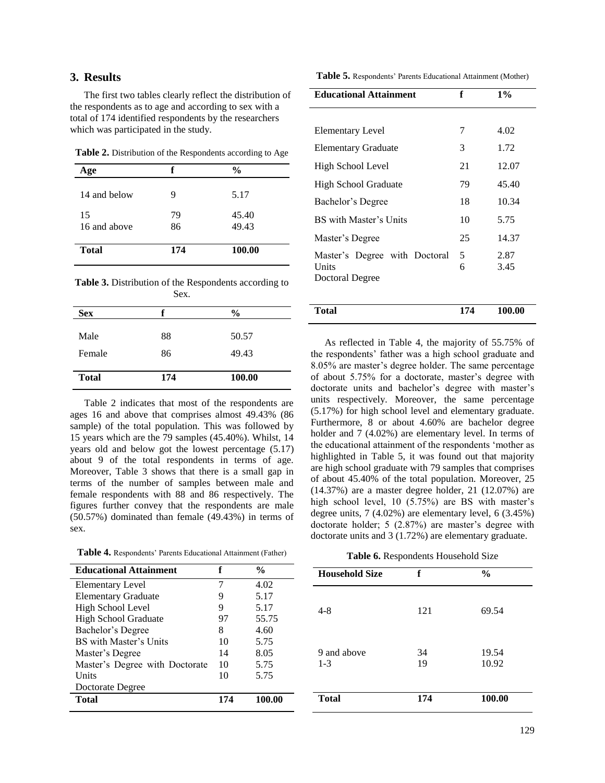#### **3. Results**

The first two tables clearly reflect the distribution of the respondents as to age and according to sex with a total of 174 identified respondents by the researchers which was participated in the study.

**Table 2.** Distribution of the Respondents according to Age

| Age                | f        | $\frac{0}{0}$  |
|--------------------|----------|----------------|
| 14 and below       | 9        | 5.17           |
| 15<br>16 and above | 79<br>86 | 45.40<br>49.43 |
| <b>Total</b>       | 174      | 100.00         |

**Table 3.** Distribution of the Respondents according to Sex.

| <b>Sex</b>   |     | $\frac{0}{0}$ |
|--------------|-----|---------------|
| Male         | 88  | 50.57         |
| Female       | 86  | 49.43         |
| <b>Total</b> | 174 | 100.00        |

Table 2 indicates that most of the respondents are ages 16 and above that comprises almost 49.43% (86 sample) of the total population. This was followed by 15 years which are the 79 samples (45.40%). Whilst, 14 years old and below got the lowest percentage (5.17) about 9 of the total respondents in terms of age. Moreover, Table 3 shows that there is a small gap in terms of the number of samples between male and female respondents with 88 and 86 respectively. The figures further convey that the respondents are male (50.57%) dominated than female (49.43%) in terms of sex.

Table 5. Respondents' Parents Educational Attainment (Mother)

| <b>Educational Attainment</b>                             | f      | $1\%$        |
|-----------------------------------------------------------|--------|--------------|
|                                                           |        |              |
| <b>Elementary Level</b>                                   | 7      | 4.02         |
| <b>Elementary Graduate</b>                                | 3      | 1.72         |
| High School Level                                         | 21     | 12.07        |
| High School Graduate                                      | 79     | 45.40        |
| Bachelor's Degree                                         | 18     | 10.34        |
| BS with Master's Units                                    | 10     | 5.75         |
| Master's Degree                                           | 25     | 14.37        |
| Master's Degree with Doctoral<br>Units<br>Doctoral Degree | 5<br>6 | 2.87<br>3.45 |
| <b>Total</b>                                              | 174    | 100.00       |

As reflected in Table 4, the majority of 55.75% of the respondents' father was a high school graduate and 8.05% are master"s degree holder. The same percentage of about 5.75% for a doctorate, master"s degree with doctorate units and bachelor's degree with master's units respectively. Moreover, the same percentage (5.17%) for high school level and elementary graduate. Furthermore, 8 or about 4.60% are bachelor degree holder and 7 (4.02%) are elementary level. In terms of the educational attainment of the respondents "mother as highlighted in Table 5, it was found out that majority are high school graduate with 79 samples that comprises of about 45.40% of the total population. Moreover, 25 (14.37%) are a master degree holder, 21 (12.07%) are high school level, 10 (5.75%) are BS with master's degree units, 7 (4.02%) are elementary level, 6 (3.45%) doctorate holder; 5 (2.87%) are master's degree with doctorate units and 3 (1.72%) are elementary graduate.

|  |  | Table 6. Respondents Household Size |
|--|--|-------------------------------------|
|--|--|-------------------------------------|

| <b>Educational Attainment</b>  |     | $\frac{0}{0}$ | <b>Household S</b> |
|--------------------------------|-----|---------------|--------------------|
| Elementary Level               | 7   | 4.02          |                    |
| <b>Elementary Graduate</b>     | 9   | 5.17          |                    |
| High School Level              | 9   | 5.17          | $4 - 8$            |
| <b>High School Graduate</b>    | 97  | 55.75         |                    |
| Bachelor's Degree              | 8   | 4.60          |                    |
| BS with Master's Units         | 10  | 5.75          |                    |
| Master's Degree                | 14  | 8.05          | 9 and above        |
| Master's Degree with Doctorate | 10  | 5.75          | $1 - 3$            |
| Units                          | 10  | 5.75          |                    |
| Doctorate Degree               |     |               |                    |
| <b>Total</b>                   | 174 | 100.00        | <b>Total</b>       |

| <b>Household Size</b>  | f        | $\frac{0}{0}$  |
|------------------------|----------|----------------|
| $4 - 8$                | 121      | 69.54          |
| 9 and above<br>$1 - 3$ | 34<br>19 | 19.54<br>10.92 |
| <b>Total</b>           | 174      | 100.00         |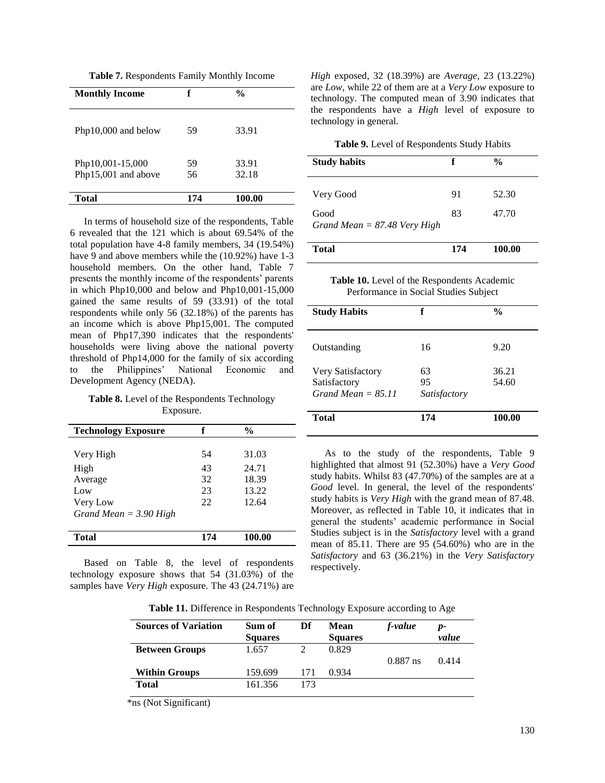**Table 7.** Respondents Family Monthly Income

| <b>Monthly Income</b>                   | f        | $\frac{0}{0}$  |
|-----------------------------------------|----------|----------------|
| Php10,000 and below                     | 59       | 33.91          |
| Php10,001-15,000<br>Php15,001 and above | 59<br>56 | 33.91<br>32.18 |
| Total                                   | 174      | 100.00         |

In terms of household size of the respondents, Table 6 revealed that the 121 which is about 69.54% of the total population have 4-8 family members, 34 (19.54%) have 9 and above members while the (10.92%) have 1-3 household members. On the other hand, Table 7 presents the monthly income of the respondents" parents in which Php10,000 and below and Php10,001-15,000 gained the same results of 59 (33.91) of the total respondents while only 56 (32.18%) of the parents has an income which is above Php15,001. The computed mean of Php17,390 indicates that the respondents' households were living above the national poverty threshold of Php14,000 for the family of six according to the Philippines" National Economic and Development Agency (NEDA).

**Table 8.** Level of the Respondents Technology Exposure.

| <b>Technology Exposure</b> | f   | $\frac{6}{9}$ |
|----------------------------|-----|---------------|
|                            |     |               |
| Very High                  | 54  | 31.03         |
| High                       | 43  | 24.71         |
| Average                    | 32  | 18.39         |
| Low                        | 23  | 13.22         |
| Very Low                   | 22  | 12.64         |
| Grand Mean $=$ 3.90 High   |     |               |
|                            |     |               |
| Total                      | 174 | 100.00        |

Based on Table 8, the level of respondents technology exposure shows that 54 (31.03%) of the samples have *Very High* exposure. The 43 (24.71%) are *High* exposed, 32 (18.39%) are *Average*, 23 (13.22%) are *Low*, while 22 of them are at a *Very Low* exposure to technology. The computed mean of 3.90 indicates that the respondents have a *High* level of exposure to technology in general.

**Table 9.** Level of Respondents Study Habits

| <b>Study habits</b>                                 | f        | $\frac{0}{0}$  |
|-----------------------------------------------------|----------|----------------|
| Very Good<br>Good<br>Grand Mean $= 87.48$ Very High | 91<br>83 | 52.30<br>47.70 |

| <b>Total</b> | 174 | 100.00 |
|--------------|-----|--------|
|              |     |        |

**Table 10.** Level of the Respondents Academic Performance in Social Studies Subject

| <b>Study Habits</b>                                       | f                        | $\frac{0}{0}$  |
|-----------------------------------------------------------|--------------------------|----------------|
| Outstanding                                               | 16                       | 9.20           |
| Very Satisfactory<br>Satisfactory<br>Grand Mean = $85.11$ | 63<br>95<br>Satisfactory | 36.21<br>54.60 |
| <b>Total</b>                                              | 174                      | 100.00         |

As to the study of the respondents, Table 9 highlighted that almost 91 (52.30%) have a *Very Good* study habits. Whilst 83 (47.70%) of the samples are at a *Good* level. In general, the level of the respondents' study habits is *Very High* with the grand mean of 87.48. Moreover, as reflected in Table 10, it indicates that in general the students" academic performance in Social Studies subject is in the *Satisfactory* level with a grand mean of 85.11. There are 95 (54.60%) who are in the *Satisfactory* and 63 (36.21%) in the *Very Satisfactory* respectively.

|  |  |  | Table 11. Difference in Respondents Technology Exposure according to Age |  |
|--|--|--|--------------------------------------------------------------------------|--|
|  |  |  |                                                                          |  |

| <b>Sources of Variation</b> | Sum of<br><b>Squares</b> | Df  | <b>Mean</b><br><b>Squares</b> | f-value    | p-<br>value |
|-----------------------------|--------------------------|-----|-------------------------------|------------|-------------|
| <b>Between Groups</b>       | 1.657                    |     | 0.829                         | $0.887$ ns | 0.414       |
| <b>Within Groups</b>        | 159.699                  | 171 | 0.934                         |            |             |
| <b>Total</b>                | 161.356                  | 173 |                               |            |             |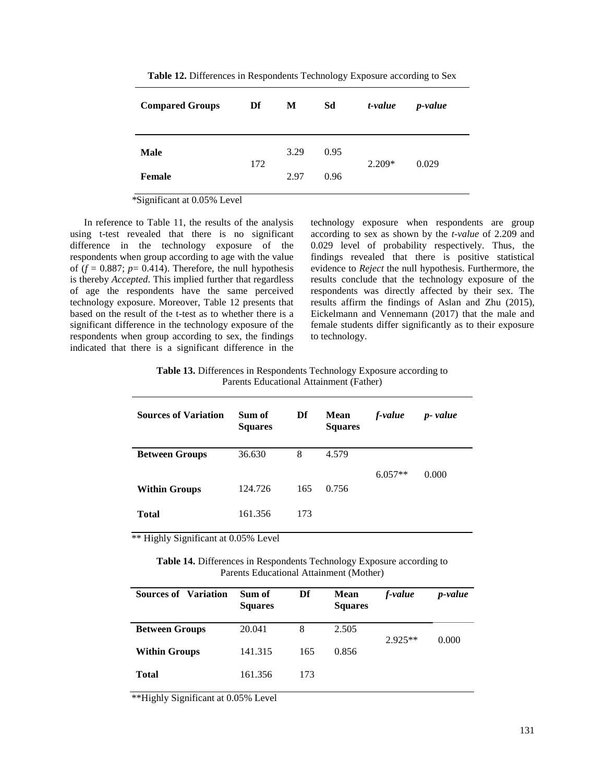| <b>Compared Groups</b> | Df  | M    | Sd   | t-value  | <i>p</i> -value |
|------------------------|-----|------|------|----------|-----------------|
| <b>Male</b>            | 172 | 3.29 | 0.95 | $2.209*$ | 0.029           |
| <b>Female</b>          |     | 2.97 | 0.96 |          |                 |

**Table 12.** Differences in Respondents Technology Exposure according to Sex

*\**Significant at 0.05% Level

In reference to Table 11, the results of the analysis using t-test revealed that there is no significant difference in the technology exposure of the respondents when group according to age with the value of  $(f = 0.887; p = 0.414)$ . Therefore, the null hypothesis is thereby *Accepted*. This implied further that regardless of age the respondents have the same perceived technology exposure. Moreover, Table 12 presents that based on the result of the t-test as to whether there is a significant difference in the technology exposure of the respondents when group according to sex, the findings indicated that there is a significant difference in the

technology exposure when respondents are group according to sex as shown by the *t-value* of 2.209 and 0.029 level of probability respectively. Thus, the findings revealed that there is positive statistical evidence to *Reject* the null hypothesis. Furthermore, the results conclude that the technology exposure of the respondents was directly affected by their sex. The results affirm the findings of Aslan and Zhu (2015), Eickelmann and Vennemann (2017) that the male and female students differ significantly as to their exposure to technology.

**Table 13.** Differences in Respondents Technology Exposure according to Parents Educational Attainment (Father)

| <b>Sources of Variation</b> | Sum of<br><b>Squares</b> | Df  | <b>Mean</b><br><b>Squares</b> | f-value   | p-value |
|-----------------------------|--------------------------|-----|-------------------------------|-----------|---------|
| <b>Between Groups</b>       | 36.630                   | 8   | 4.579                         |           |         |
|                             |                          |     |                               | $6.057**$ | 0.000   |
| <b>Within Groups</b>        | 124.726                  | 165 | 0.756                         |           |         |
| <b>Total</b>                | 161.356                  | 173 |                               |           |         |

\*\* Highly Significant at 0.05% Level

**Table 14.** Differences in Respondents Technology Exposure according to Parents Educational Attainment (Mother)

| <b>Sources of Variation</b> | Sum of<br><b>Squares</b> | Df  | <b>Mean</b><br><b>Squares</b> | f-value   | <i>p</i> -value |
|-----------------------------|--------------------------|-----|-------------------------------|-----------|-----------------|
| <b>Between Groups</b>       | 20.041                   | 8   | 2.505                         | $2.925**$ | 0.000           |
| <b>Within Groups</b>        | 141.315                  | 165 | 0.856                         |           |                 |
| <b>Total</b>                | 161.356                  | 173 |                               |           |                 |

\*\*Highly Significant at 0.05% Level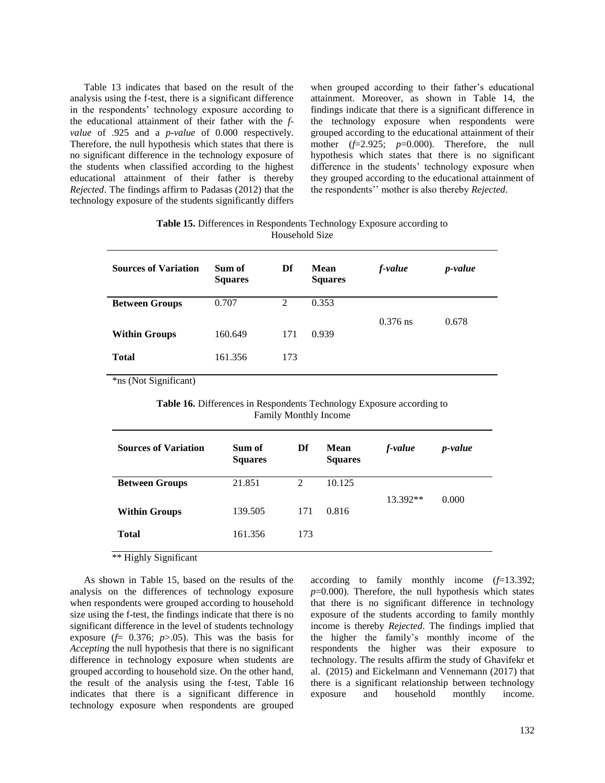Table 13 indicates that based on the result of the analysis using the f-test, there is a significant difference in the respondents' technology exposure according to the educational attainment of their father with the *fvalue* of .925 and a *p-value* of 0.000 respectively. Therefore, the null hypothesis which states that there is no significant difference in the technology exposure of the students when classified according to the highest educational attainment of their father is thereby *Rejected*. The findings affirm to Padasas (2012) that the technology exposure of the students significantly differs

when grouped according to their father"s educational attainment. Moreover, as shown in Table 14, the findings indicate that there is a significant difference in the technology exposure when respondents were grouped according to the educational attainment of their mother (*f*=2.925; *p*=0.000). Therefore, the null hypothesis which states that there is no significant difference in the students' technology exposure when they grouped according to the educational attainment of the respondents"" mother is also thereby *Rejected*.

**Table 15.** Differences in Respondents Technology Exposure according to Household Size

| <b>Sources of Variation</b> | Sum of<br><b>Squares</b> | Df  | Mean<br><b>Squares</b> | f-value    | <i>p</i> -value |
|-----------------------------|--------------------------|-----|------------------------|------------|-----------------|
| <b>Between Groups</b>       | 0.707                    | 2   | 0.353                  |            |                 |
|                             |                          |     |                        | $0.376$ ns | 0.678           |
| <b>Within Groups</b>        | 160.649                  | 171 | 0.939                  |            |                 |
| <b>Total</b>                | 161.356                  | 173 |                        |            |                 |

\*ns (Not Significant)

**Table 16.** Differences in Respondents Technology Exposure according to Family Monthly Income

| <b>Sources of Variation</b> | Sum of<br><b>Squares</b> | Df  | <b>Mean</b><br><b>Squares</b> | f-value  | <i>p</i> -value |
|-----------------------------|--------------------------|-----|-------------------------------|----------|-----------------|
| <b>Between Groups</b>       | 21.851                   | 2   | 10.125                        |          |                 |
| <b>Within Groups</b>        | 139.505                  | 171 | 0.816                         | 13.392** | 0.000           |
| <b>Total</b>                | 161.356                  | 173 |                               |          |                 |
|                             |                          |     |                               |          |                 |

\*\* Highly Significant

As shown in Table 15, based on the results of the analysis on the differences of technology exposure when respondents were grouped according to household size using the f-test, the findings indicate that there is no significant difference in the level of students technology exposure  $(f= 0.376; p>0.05)$ . This was the basis for *Accepting* the null hypothesis that there is no significant difference in technology exposure when students are grouped according to household size. On the other hand, the result of the analysis using the f-test, Table 16 indicates that there is a significant difference in technology exposure when respondents are grouped

according to family monthly income (*f*=13.392;  $p=0.000$ ). Therefore, the null hypothesis which states that there is no significant difference in technology exposure of the students according to family monthly income is thereby *Rejected*. The findings implied that the higher the family"s monthly income of the respondents the higher was their exposure to technology. The results affirm the study of Ghavifekr et al. (2015) and Eickelmann and Vennemann (2017) that there is a significant relationship between technology exposure and household monthly income.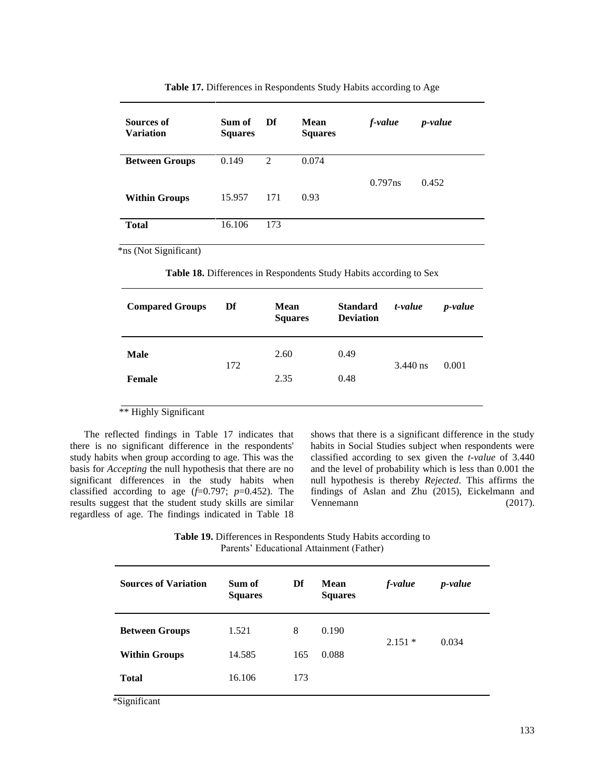| Sources of<br><b>Variation</b> | Sum of<br><b>Squares</b> | Df             | Mean<br><b>Squares</b> | f-value    | <i>p</i> -value |
|--------------------------------|--------------------------|----------------|------------------------|------------|-----------------|
| <b>Between Groups</b>          | 0.149                    | $\overline{2}$ | 0.074                  |            |                 |
|                                |                          |                |                        | $0.797$ ns | 0.452           |
| <b>Within Groups</b>           | 15.957                   | 171            | 0.93                   |            |                 |
|                                |                          |                |                        |            |                 |
| <b>Total</b>                   | 16.106                   | 173            |                        |            |                 |
|                                |                          |                |                        |            |                 |

**Table 17.** Differences in Respondents Study Habits according to Age

**Table 18.** Differences in Respondents Study Habits according to Sex

| <b>Compared Groups</b> | Df  | <b>Mean</b><br><b>Squares</b> | <b>Standard</b><br><b>Deviation</b> | t-value    | <i>p</i> -value |
|------------------------|-----|-------------------------------|-------------------------------------|------------|-----------------|
| <b>Male</b>            | 172 | 2.60                          | 0.49                                | $3.440$ ns | 0.001           |
| <b>Female</b>          |     | 2.35                          | 0.48                                |            |                 |

\*\* Highly Significant

The reflected findings in Table 17 indicates that there is no significant difference in the respondents' study habits when group according to age. This was the basis for *Accepting* the null hypothesis that there are no significant differences in the study habits when classified according to age  $(f=0.797; p=0.452)$ . The results suggest that the student study skills are similar regardless of age. The findings indicated in Table 18 shows that there is a significant difference in the study habits in Social Studies subject when respondents were classified according to sex given the *t-value* of 3.440 and the level of probability which is less than 0.001 the null hypothesis is thereby *Rejected*. This affirms the findings of Aslan and Zhu (2015), Eickelmann and Vennemann (2017).

**Table 19.** Differences in Respondents Study Habits according to Parents" Educational Attainment (Father)

| <b>Sources of Variation</b> | Sum of<br><b>Squares</b> | Df  | <b>Mean</b><br><b>Squares</b> | f-value  | <i>p</i> -value |
|-----------------------------|--------------------------|-----|-------------------------------|----------|-----------------|
| <b>Between Groups</b>       | 1.521                    | 8   | 0.190                         | $2.151*$ | 0.034           |
| <b>Within Groups</b>        | 14.585                   | 165 | 0.088                         |          |                 |
| <b>Total</b>                | 16.106                   | 173 |                               |          |                 |
| *Significant                |                          |     |                               |          |                 |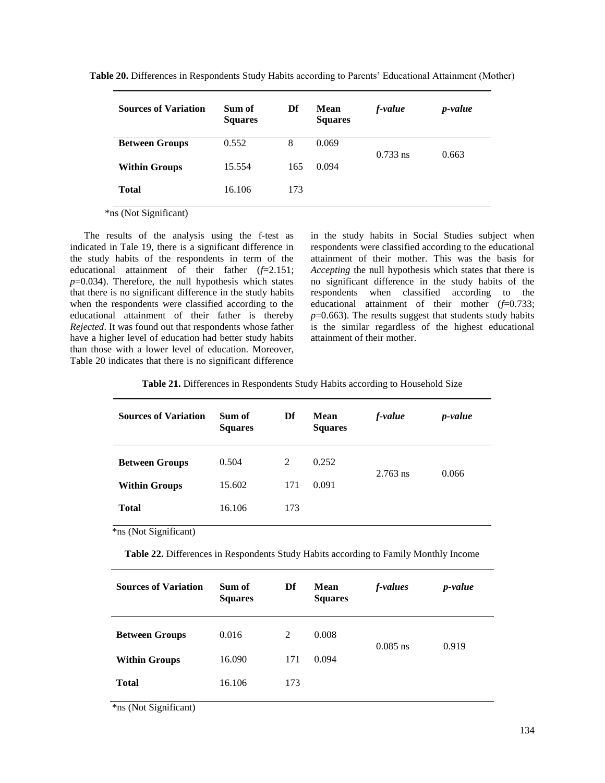**Table 20.** Differences in Respondents Study Habits according to Parents" Educational Attainment (Mother)

| <b>Sources of Variation</b>                                             | Sum of<br><b>Squares</b> | Df  | <b>Mean</b><br><b>Squares</b> | f-value    | <i>p</i> -value |
|-------------------------------------------------------------------------|--------------------------|-----|-------------------------------|------------|-----------------|
| <b>Between Groups</b>                                                   | 0.552                    | 8   | 0.069                         | $0.733$ ns | 0.663           |
| <b>Within Groups</b>                                                    | 15.554                   | 165 | 0.094                         |            |                 |
| <b>Total</b>                                                            | 16.106                   | 173 |                               |            |                 |
| $\cdot$ $\sim$<br>$\Delta$ $\mathbf{r}$ $\Delta$ $\mathbf{r}$<br>$\sim$ |                          |     |                               |            |                 |

The results of the analysis using the f-test as indicated in Tale 19, there is a significant difference in the study habits of the respondents in term of the educational attainment of their father (*f*=2.151;  $p=0.034$ ). Therefore, the null hypothesis which states that there is no significant difference in the study habits when the respondents were classified according to the educational attainment of their father is thereby *Rejected*. It was found out that respondents whose father have a higher level of education had better study habits than those with a lower level of education. Moreover, Table 20 indicates that there is no significant difference

in the study habits in Social Studies subject when respondents were classified according to the educational attainment of their mother. This was the basis for *Accepting* the null hypothesis which states that there is no significant difference in the study habits of the respondents when classified according to the educational attainment of their mother (*f*=0.733; *p*=0.663). The results suggest that students study habits is the similar regardless of the highest educational attainment of their mother.

| <b>Sources of Variation</b> | Sum of<br><b>Squares</b> | Df  | Mean<br><b>Squares</b> | f-value    | <i>p</i> -value |
|-----------------------------|--------------------------|-----|------------------------|------------|-----------------|
| <b>Between Groups</b>       | 0.504                    | 2   | 0.252                  | $2.763$ ns | 0.066           |
| <b>Within Groups</b>        | 15.602                   | 171 | 0.091                  |            |                 |
| <b>Total</b>                | 16.106                   | 173 |                        |            |                 |

\*ns (Not Significant)

**Table 22.** Differences in Respondents Study Habits according to Family Monthly Income

| <b>Sources of Variation</b> | Sum of<br><b>Squares</b> | Df  | <b>Mean</b><br><b>Squares</b> | f-values   | <i>p</i> -value |
|-----------------------------|--------------------------|-----|-------------------------------|------------|-----------------|
| <b>Between Groups</b>       | 0.016                    | 2   | 0.008                         | $0.085$ ns | 0.919           |
| <b>Within Groups</b>        | 16.090                   | 171 | 0.094                         |            |                 |
| <b>Total</b>                | 16.106                   | 173 |                               |            |                 |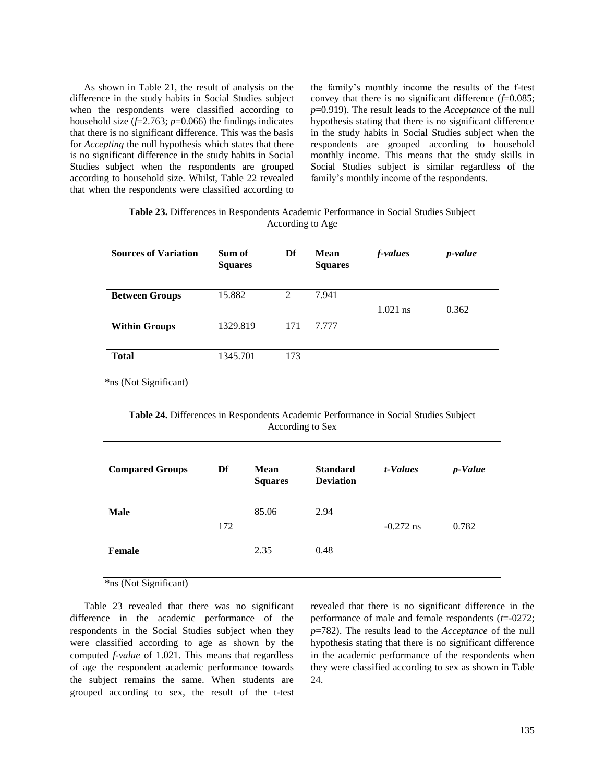As shown in Table 21, the result of analysis on the difference in the study habits in Social Studies subject when the respondents were classified according to household size (*f*=2.763; *p*=0.066) the findings indicates that there is no significant difference. This was the basis for *Accepting* the null hypothesis which states that there is no significant difference in the study habits in Social Studies subject when the respondents are grouped according to household size. Whilst, Table 22 revealed that when the respondents were classified according to the family"s monthly income the results of the f-test convey that there is no significant difference (*f*=0.085; *p*=0.919). The result leads to the *Acceptance* of the null hypothesis stating that there is no significant difference in the study habits in Social Studies subject when the respondents are grouped according to household monthly income. This means that the study skills in Social Studies subject is similar regardless of the family's monthly income of the respondents.

**Table 23.** Differences in Respondents Academic Performance in Social Studies Subject According to Age

| <b>Sources of Variation</b> | Sum of<br><b>Squares</b> | Df             | Mean<br><b>Squares</b> | f-values   | <i>p</i> -value |
|-----------------------------|--------------------------|----------------|------------------------|------------|-----------------|
| <b>Between Groups</b>       | 15.882                   | $\mathfrak{D}$ | 7.941                  | $1.021$ ns | 0.362           |
| <b>Within Groups</b>        | 1329.819                 | 171            | 7.777                  |            |                 |
| <b>Total</b>                | 1345.701                 | 173            |                        |            |                 |

\*ns (Not Significant)

**Table 24.** Differences in Respondents Academic Performance in Social Studies Subject According to Sex

| <b>Compared Groups</b> | Df  | <b>Mean</b><br><b>Squares</b> | <b>Standard</b><br><b>Deviation</b> | t-Values    | <i>p</i> -Value |
|------------------------|-----|-------------------------------|-------------------------------------|-------------|-----------------|
| <b>Male</b>            |     | 85.06                         | 2.94                                |             |                 |
|                        | 172 |                               |                                     | $-0.272$ ns | 0.782           |
| Female                 |     | 2.35                          | 0.48                                |             |                 |

\*ns (Not Significant)

Table 23 revealed that there was no significant difference in the academic performance of the respondents in the Social Studies subject when they were classified according to age as shown by the computed *f-value* of 1.021. This means that regardless of age the respondent academic performance towards the subject remains the same. When students are grouped according to sex, the result of the t-test revealed that there is no significant difference in the performance of male and female respondents (*t*=-0272; *p*=782). The results lead to the *Acceptance* of the null hypothesis stating that there is no significant difference in the academic performance of the respondents when they were classified according to sex as shown in Table 24.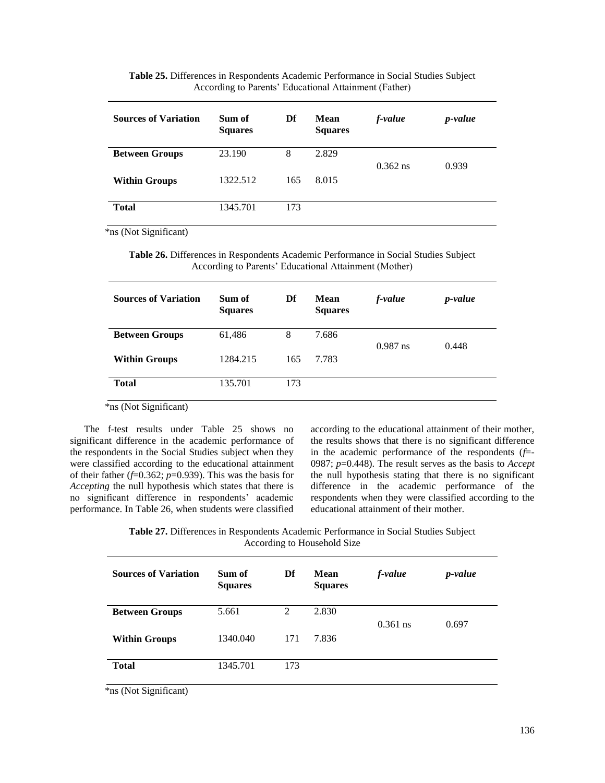| <b>Sources of Variation</b> | Sum of<br><b>Squares</b> | Df  | Mean<br><b>Squares</b> | f-value    | <i>p</i> -value |
|-----------------------------|--------------------------|-----|------------------------|------------|-----------------|
| <b>Between Groups</b>       | 23.190                   | 8   | 2.829                  | $0.362$ ns | 0.939           |
| <b>Within Groups</b>        | 1322.512                 | 165 | 8.015                  |            |                 |
| <b>Total</b>                | 1345.701                 | 173 |                        |            |                 |

**Table 25.** Differences in Respondents Academic Performance in Social Studies Subject According to Parents" Educational Attainment (Father)

**Table 26.** Differences in Respondents Academic Performance in Social Studies Subject According to Parents' Educational Attainment (Mother)

| <b>Sources of Variation</b> | Sum of<br><b>Squares</b> | Df  | Mean<br><b>Squares</b> | f-value    | <i>p</i> -value |
|-----------------------------|--------------------------|-----|------------------------|------------|-----------------|
| <b>Between Groups</b>       | 61,486                   | 8   | 7.686                  | $0.987$ ns | 0.448           |
| <b>Within Groups</b>        | 1284.215                 | 165 | 7.783                  |            |                 |
| <b>Total</b>                | 135.701                  | 173 |                        |            |                 |

\*ns (Not Significant)

The f-test results under Table 25 shows no significant difference in the academic performance of the respondents in the Social Studies subject when they were classified according to the educational attainment of their father  $(f=0.362; p=0.939)$ . This was the basis for *Accepting* the null hypothesis which states that there is no significant difference in respondents' academic performance. In Table 26, when students were classified

according to the educational attainment of their mother, the results shows that there is no significant difference in the academic performance of the respondents (*f*=- 0987; *p*=0.448). The result serves as the basis to *Accept* the null hypothesis stating that there is no significant difference in the academic performance of the respondents when they were classified according to the educational attainment of their mother.

**Table 27.** Differences in Respondents Academic Performance in Social Studies Subject According to Household Size

| <b>Sources of Variation</b> | Sum of<br><b>Squares</b> | Df  | Mean<br><b>Squares</b> | f-value    | <i>p</i> -value |
|-----------------------------|--------------------------|-----|------------------------|------------|-----------------|
| <b>Between Groups</b>       | 5.661                    | 2   | 2.830                  |            |                 |
|                             |                          |     |                        | $0.361$ ns | 0.697           |
| <b>Within Groups</b>        | 1340.040                 | 171 | 7.836                  |            |                 |
| <b>Total</b>                | 1345.701                 | 173 |                        |            |                 |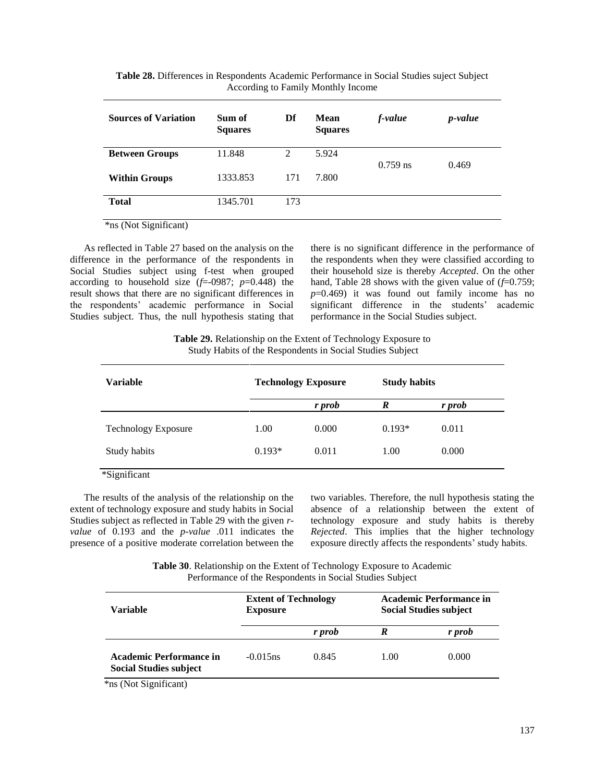| <b>Sources of Variation</b> | Sum of<br><b>Squares</b> | Df             | <b>Mean</b><br><b>Squares</b> | f-value    | <i>p</i> -value |
|-----------------------------|--------------------------|----------------|-------------------------------|------------|-----------------|
| <b>Between Groups</b>       | 11.848                   | $\mathfrak{D}$ | 5.924                         | $0.759$ ns | 0.469           |
| <b>Within Groups</b>        | 1333.853                 | 171            | 7.800                         |            |                 |
| <b>Total</b>                | 1345.701                 | 173            |                               |            |                 |

**Table 28.** Differences in Respondents Academic Performance in Social Studies suject Subject According to Family Monthly Income

As reflected in Table 27 based on the analysis on the difference in the performance of the respondents in Social Studies subject using f-test when grouped according to household size  $(f=0.0987; p=0.448)$  the result shows that there are no significant differences in the respondents" academic performance in Social Studies subject. Thus, the null hypothesis stating that there is no significant difference in the performance of the respondents when they were classified according to their household size is thereby *Accepted*. On the other hand, Table 28 shows with the given value of  $(f=0.759)$ ; *p*=0.469) it was found out family income has no significant difference in the students' academic performance in the Social Studies subject.

**Table 29.** Relationship on the Extent of Technology Exposure to Study Habits of the Respondents in Social Studies Subject

| <b>Variable</b>            |          | <b>Technology Exposure</b> | <b>Study habits</b> |        |  |
|----------------------------|----------|----------------------------|---------------------|--------|--|
|                            |          | r prob                     | R                   | r prob |  |
| <b>Technology Exposure</b> | 1.00     | 0.000                      | $0.193*$            | 0.011  |  |
| Study habits               | $0.193*$ | 0.011                      | 1.00                | 0.000  |  |

\*Significant

The results of the analysis of the relationship on the extent of technology exposure and study habits in Social Studies subject as reflected in Table 29 with the given *rvalue* of 0.193 and the *p-value* .011 indicates the presence of a positive moderate correlation between the two variables. Therefore, the null hypothesis stating the absence of a relationship between the extent of technology exposure and study habits is thereby *Rejected*. This implies that the higher technology exposure directly affects the respondents' study habits.

**Table 30**. Relationship on the Extent of Technology Exposure to Academic Performance of the Respondents in Social Studies Subject

| Variable                                                        | <b>Extent of Technology</b><br><b>Exposure</b> |        | <b>Academic Performance in</b><br><b>Social Studies subject</b> |        |  |
|-----------------------------------------------------------------|------------------------------------------------|--------|-----------------------------------------------------------------|--------|--|
|                                                                 |                                                | r prob | R                                                               | r prob |  |
| <b>Academic Performance in</b><br><b>Social Studies subject</b> | $-0.015$ ns                                    | 0.845  | 1.00                                                            | 0.000  |  |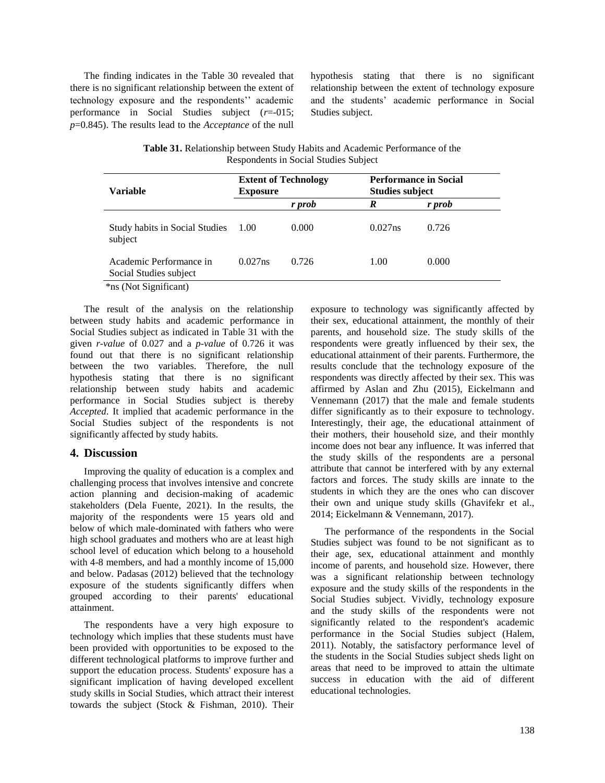The finding indicates in the Table 30 revealed that there is no significant relationship between the extent of technology exposure and the respondents" academic performance in Social Studies subject (*r*=-015; *p*=0.845). The results lead to the *Acceptance* of the null

hypothesis stating that there is no significant relationship between the extent of technology exposure and the students" academic performance in Social Studies subject.

**Table 31.** Relationship between Study Habits and Academic Performance of the Respondents in Social Studies Subject

| <b>Variable</b>                                   | <b>Extent of Technology</b><br><b>Exposure</b> |        | <b>Performance in Social</b><br><b>Studies subject</b> |        |
|---------------------------------------------------|------------------------------------------------|--------|--------------------------------------------------------|--------|
|                                                   |                                                | r prob | R                                                      | r prob |
| <b>Study habits in Social Studies</b><br>subject  | 1.00                                           | 0.000  | 0.027ns                                                | 0.726  |
| Academic Performance in<br>Social Studies subject | 0.027ns                                        | 0.726  | 1.00                                                   | 0.000  |
| *ns (Not Significant)                             |                                                |        |                                                        |        |

The result of the analysis on the relationship between study habits and academic performance in Social Studies subject as indicated in Table 31 with the given *r-value* of 0.027 and a *p-value* of 0.726 it was found out that there is no significant relationship between the two variables. Therefore, the null hypothesis stating that there is no significant relationship between study habits and academic performance in Social Studies subject is thereby *Accepted*. It implied that academic performance in the Social Studies subject of the respondents is not significantly affected by study habits.

#### **4. Discussion**

Improving the quality of education is a complex and challenging process that involves intensive and concrete action planning and decision-making of academic stakeholders (Dela Fuente, 2021). In the results, the majority of the respondents were 15 years old and below of which male-dominated with fathers who were high school graduates and mothers who are at least high school level of education which belong to a household with 4-8 members, and had a monthly income of 15,000 and below. Padasas (2012) believed that the technology exposure of the students significantly differs when grouped according to their parents' educational attainment.

The respondents have a very high exposure to technology which implies that these students must have been provided with opportunities to be exposed to the different technological platforms to improve further and support the education process. Students' exposure has a significant implication of having developed excellent study skills in Social Studies, which attract their interest towards the subject (Stock & Fishman, 2010). Their

exposure to technology was significantly affected by their sex, educational attainment, the monthly of their parents, and household size. The study skills of the respondents were greatly influenced by their sex, the educational attainment of their parents. Furthermore, the results conclude that the technology exposure of the respondents was directly affected by their sex. This was affirmed by Aslan and Zhu (2015), Eickelmann and Vennemann (2017) that the male and female students differ significantly as to their exposure to technology. Interestingly, their age, the educational attainment of their mothers, their household size, and their monthly income does not bear any influence. It was inferred that the study skills of the respondents are a personal attribute that cannot be interfered with by any external factors and forces. The study skills are innate to the students in which they are the ones who can discover their own and unique study skills (Ghavifekr et al., 2014; Eickelmann & Vennemann, 2017).

The performance of the respondents in the Social Studies subject was found to be not significant as to their age, sex, educational attainment and monthly income of parents, and household size. However, there was a significant relationship between technology exposure and the study skills of the respondents in the Social Studies subject. Vividly, technology exposure and the study skills of the respondents were not significantly related to the respondent's academic performance in the Social Studies subject (Halem, 2011). Notably, the satisfactory performance level of the students in the Social Studies subject sheds light on areas that need to be improved to attain the ultimate success in education with the aid of different educational technologies.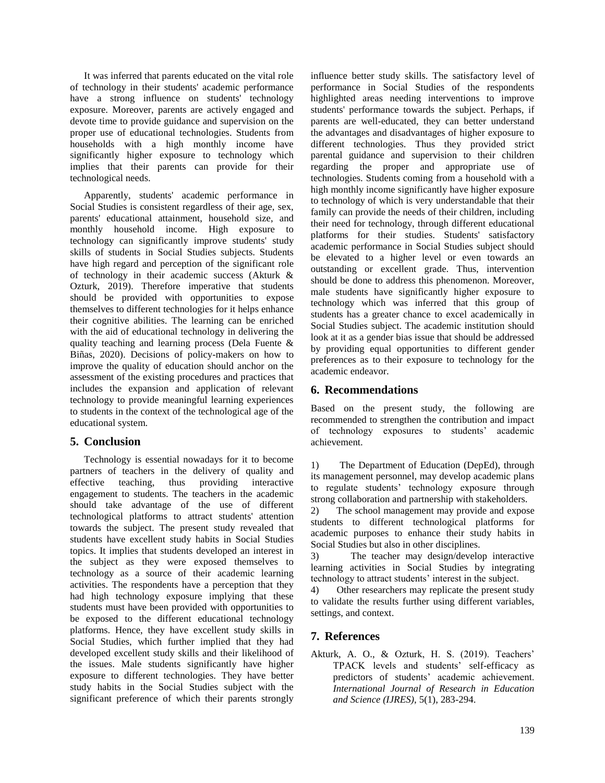It was inferred that parents educated on the vital role of technology in their students' academic performance have a strong influence on students' technology exposure. Moreover, parents are actively engaged and devote time to provide guidance and supervision on the proper use of educational technologies. Students from households with a high monthly income have significantly higher exposure to technology which implies that their parents can provide for their technological needs.

Apparently, students' academic performance in Social Studies is consistent regardless of their age, sex, parents' educational attainment, household size, and monthly household income. High exposure to technology can significantly improve students' study skills of students in Social Studies subjects. Students have high regard and perception of the significant role of technology in their academic success (Akturk & Ozturk, 2019). Therefore imperative that students should be provided with opportunities to expose themselves to different technologies for it helps enhance their cognitive abilities. The learning can be enriched with the aid of educational technology in delivering the quality teaching and learning process (Dela Fuente & Biñas, 2020). Decisions of policy-makers on how to improve the quality of education should anchor on the assessment of the existing procedures and practices that includes the expansion and application of relevant technology to provide meaningful learning experiences to students in the context of the technological age of the educational system.

## **5. Conclusion**

Technology is essential nowadays for it to become partners of teachers in the delivery of quality and effective teaching, thus providing interactive engagement to students. The teachers in the academic should take advantage of the use of different technological platforms to attract students' attention towards the subject. The present study revealed that students have excellent study habits in Social Studies topics. It implies that students developed an interest in the subject as they were exposed themselves to technology as a source of their academic learning activities. The respondents have a perception that they had high technology exposure implying that these students must have been provided with opportunities to be exposed to the different educational technology platforms. Hence, they have excellent study skills in Social Studies, which further implied that they had developed excellent study skills and their likelihood of the issues. Male students significantly have higher exposure to different technologies. They have better study habits in the Social Studies subject with the significant preference of which their parents strongly

influence better study skills. The satisfactory level of performance in Social Studies of the respondents highlighted areas needing interventions to improve students' performance towards the subject. Perhaps, if parents are well-educated, they can better understand the advantages and disadvantages of higher exposure to different technologies. Thus they provided strict parental guidance and supervision to their children regarding the proper and appropriate use of technologies. Students coming from a household with a high monthly income significantly have higher exposure to technology of which is very understandable that their family can provide the needs of their children, including their need for technology, through different educational platforms for their studies. Students' satisfactory academic performance in Social Studies subject should be elevated to a higher level or even towards an outstanding or excellent grade. Thus, intervention should be done to address this phenomenon. Moreover, male students have significantly higher exposure to technology which was inferred that this group of students has a greater chance to excel academically in Social Studies subject. The academic institution should look at it as a gender bias issue that should be addressed by providing equal opportunities to different gender preferences as to their exposure to technology for the academic endeavor.

#### **6. Recommendations**

Based on the present study, the following are recommended to strengthen the contribution and impact of technology exposures to students" academic achievement.

1) The Department of Education (DepEd), through its management personnel, may develop academic plans to regulate students" technology exposure through strong collaboration and partnership with stakeholders.

2) The school management may provide and expose students to different technological platforms for academic purposes to enhance their study habits in Social Studies but also in other disciplines.

3) The teacher may design/develop interactive learning activities in Social Studies by integrating technology to attract students" interest in the subject.

4) Other researchers may replicate the present study to validate the results further using different variables, settings, and context.

## **7. References**

Akturk, A. O., & Ozturk, H. S. (2019). Teachers' TPACK levels and students' self-efficacy as predictors of students" academic achievement. *International Journal of Research in Education and Science (IJRES)*, 5(1), 283-294.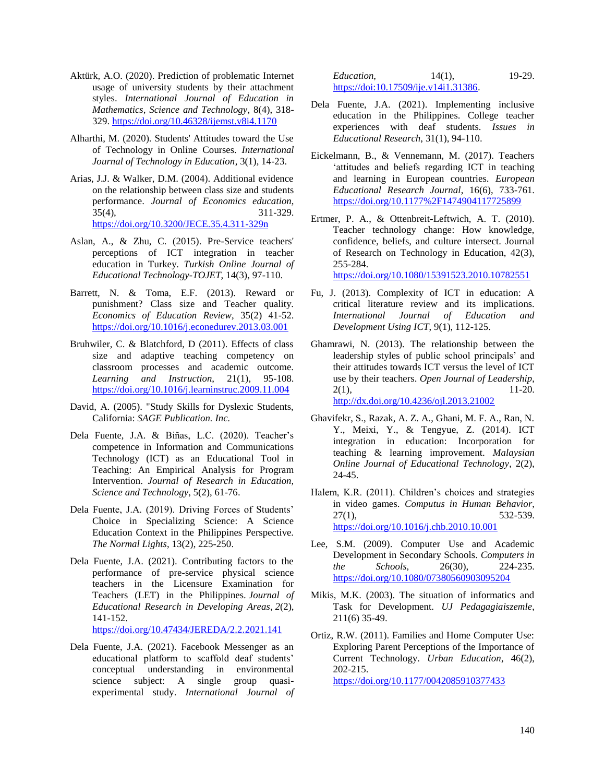- Aktürk, A.O. (2020). Prediction of problematic Internet usage of university students by their attachment styles. *International Journal of Education in Mathematics, Science and Technology*, 8(4), 318- 329. <https://doi.org/10.46328/ijemst.v8i4.1170>
- Alharthi, M. (2020). Students' Attitudes toward the Use of Technology in Online Courses. *International Journal of Technology in Education*, 3(1), 14-23.
- Arias, J.J. & Walker, D.M. (2004). Additional evidence on the relationship between class size and students performance. *Journal of Economics education*, 35(4), 311-329. <https://doi.org/10.3200/JECE.35.4.311-329n>
- Aslan, A., & Zhu, C. (2015). Pre-Service teachers' perceptions of ICT integration in teacher education in Turkey. *Turkish Online Journal of Educational Technology-TOJET*, 14(3), 97-110.
- Barrett, N. & Toma, E.F. (2013). Reward or punishment? Class size and Teacher quality. *Economics of Education Review*, 35(2) 41-52. <https://doi.org/10.1016/j.econedurev.2013.03.001>
- Bruhwiler, C. & Blatchford, D (2011). Effects of class size and adaptive teaching competency on classroom processes and academic outcome. *Learning and Instruction*, 21(1), 95-108. <https://doi.org/10.1016/j.learninstruc.2009.11.004>
- David, A. (2005). "Study Skills for Dyslexic Students, California: *SAGE Publication. Inc.*
- Dela Fuente, J.A. & Biñas, L.C. (2020). Teacher"s competence in Information and Communications Technology (ICT) as an Educational Tool in Teaching: An Empirical Analysis for Program Intervention. *Journal of Research in Education, Science and Technology*, 5(2), 61-76.
- Dela Fuente, J.A. (2019). Driving Forces of Students' Choice in Specializing Science: A Science Education Context in the Philippines Perspective. *The Normal Lights*, 13(2), 225-250.
- Dela Fuente, J.A. (2021). Contributing factors to the performance of pre-service physical science teachers in the Licensure Examination for Teachers (LET) in the Philippines. *Journal of Educational Research in Developing Areas*, *2*(2), 141-152. <https://doi.org/10.47434/JEREDA/2.2.2021.141>
- Dela Fuente, J.A. (2021). Facebook Messenger as an educational platform to scaffold deaf students' conceptual understanding in environmental science subject: A single group quasiexperimental study. *International Journal of*

*Education*, 14(1), 19-29. [https://doi:10.17509/ije.v14i1.31386.](https://doi:10.17509/ije.v14i1.31386)

- Dela Fuente, J.A. (2021). Implementing inclusive education in the Philippines. College teacher experiences with deaf students. *Issues in Educational Research*, 31(1), 94-110.
- Eickelmann, B., & Vennemann, M. (2017). Teachers "attitudes and beliefs regarding ICT in teaching and learning in European countries. *European Educational Research Journal*, 16(6), 733-761. <https://doi.org/10.1177%2F1474904117725899>
- Ertmer, P. A., & Ottenbreit-Leftwich, A. T. (2010). Teacher technology change: How knowledge, confidence, beliefs, and culture intersect. Journal of Research on Technology in Education, 42(3), 255-284. <https://doi.org/10.1080/15391523.2010.10782551>
- Fu, J. (2013). Complexity of ICT in education: A critical literature review and its implications. *International Journal of Education and Development Using ICT*, 9(1), 112-125.
- Ghamrawi, N. (2013). The relationship between the leadership styles of public school principals" and their attitudes towards ICT versus the level of ICT use by their teachers. *Open Journal of Leadership*, 2(1), 11-20. <http://dx.doi.org/10.4236/ojl.2013.21002>
- Ghavifekr, S., Razak, A. Z. A., Ghani, M. F. A., Ran, N. Y., Meixi, Y., & Tengyue, Z. (2014). ICT integration in education: Incorporation for teaching & learning improvement. *Malaysian Online Journal of Educational Technology*, 2(2), 24-45.
- Halem, K.R. (2011). Children's choices and strategies in video games. *Computus in Human Behavior*, 27(1), 532-539. <https://doi.org/10.1016/j.chb.2010.10.001>
- Lee, S.M. (2009). Computer Use and Academic Development in Secondary Schools. *Computers in the Schools*, 26(30), 224-235. <https://doi.org/10.1080/07380560903095204>
- Mikis, M.K. (2003). The situation of informatics and Task for Development. *UJ Pedagagiaiszemle*, 211(6) 35-49.
- Ortiz, R.W. (2011). Families and Home Computer Use: Exploring Parent Perceptions of the Importance of Current Technology. *Urban Education*, 46(2), 202-215. <https://doi.org/10.1177/0042085910377433>

140